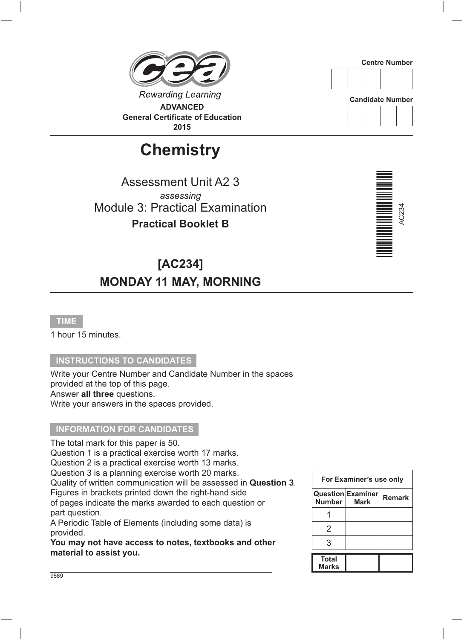## **Rewarding Learning ADVANCED General Certificate of Education**

**2015**

# **Chemistry**

Assessment Unit A2 3 *assessing* Module 3: Practical Examination **Practical Booklet B**

### **[AC234] MONDAY 11 MAY, MORNING**

#### **TIME**

1 hour 15 minutes.

#### **INSTRUCTIONS TO CANDIDATES**

Write your Centre Number and Candidate Number in the spaces provided at the top of this page. Answer **all three** questions. Write your answers in the spaces provided.

#### **INFORMATION FOR CANDIDATES**

The total mark for this paper is 50. Question 1 is a practical exercise worth 17 marks. Question 2 is a practical exercise worth 13 marks. Question 3 is a planning exercise worth 20 marks. Quality of written communication will be assessed in **Question 3**. Figures in brackets printed down the right-hand side of pages indicate the marks awarded to each question or part question. A Periodic Table of Elements (including some data) is

provided.

**You may not have access to notes, textbooks and other material to assist you.**

|                       | For Examiner's use only                 |               |
|-----------------------|-----------------------------------------|---------------|
| Number I              | <b>Question Examiner</b><br><b>Mark</b> | <b>Remark</b> |
|                       |                                         |               |
| 2                     |                                         |               |
| 3                     |                                         |               |
| <b>Total</b><br>Marks |                                         |               |







**Candidate Number**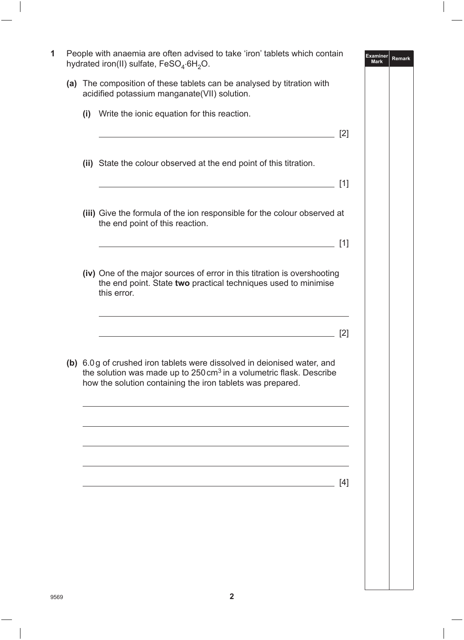| People with anaemia are often advised to take 'iron' tablets which contain<br><b>Examiner</b><br><b>Remark</b><br><b>Mark</b><br>hydrated iron(II) sulfate, FeSO <sub>4</sub> .6H <sub>2</sub> O. |                                                                                                                                                                                                                         |                   |  |  |
|---------------------------------------------------------------------------------------------------------------------------------------------------------------------------------------------------|-------------------------------------------------------------------------------------------------------------------------------------------------------------------------------------------------------------------------|-------------------|--|--|
|                                                                                                                                                                                                   | (a) The composition of these tablets can be analysed by titration with<br>acidified potassium manganate(VII) solution.                                                                                                  |                   |  |  |
|                                                                                                                                                                                                   | (i) Write the ionic equation for this reaction.                                                                                                                                                                         |                   |  |  |
|                                                                                                                                                                                                   | <u> 1989 - Johann Stoff, Amerikaansk politiker († 1908)</u>                                                                                                                                                             | [2]               |  |  |
|                                                                                                                                                                                                   | (ii) State the colour observed at the end point of this titration.                                                                                                                                                      |                   |  |  |
|                                                                                                                                                                                                   | <u> 1989 - Johann Stein, marwolaethau a bhann an t-Amhain an t-Amhain an t-Amhain an t-Amhain an t-Amhain an t-A</u>                                                                                                    | [1]               |  |  |
|                                                                                                                                                                                                   | (iii) Give the formula of the ion responsible for the colour observed at<br>the end point of this reaction.                                                                                                             |                   |  |  |
|                                                                                                                                                                                                   |                                                                                                                                                                                                                         | [1]               |  |  |
|                                                                                                                                                                                                   | (iv) One of the major sources of error in this titration is overshooting<br>the end point. State two practical techniques used to minimise<br>this error.                                                               |                   |  |  |
|                                                                                                                                                                                                   | <u> 1989 - Johann Stoff, deutscher Stoff, der Stoff, der Stoff, der Stoff, der Stoff, der Stoff, der Stoff, der S</u>                                                                                                   | $\lceil 2 \rceil$ |  |  |
|                                                                                                                                                                                                   | (b) 6.0g of crushed iron tablets were dissolved in deionised water, and<br>the solution was made up to $250 \text{ cm}^3$ in a volumetric flask. Describe<br>how the solution containing the iron tablets was prepared. |                   |  |  |
|                                                                                                                                                                                                   |                                                                                                                                                                                                                         |                   |  |  |
|                                                                                                                                                                                                   |                                                                                                                                                                                                                         |                   |  |  |
|                                                                                                                                                                                                   |                                                                                                                                                                                                                         |                   |  |  |
|                                                                                                                                                                                                   | <u> 1980 - Johann Barn, mars an t-Amerikaansk ferskeizh (</u>                                                                                                                                                           | [4]               |  |  |
|                                                                                                                                                                                                   |                                                                                                                                                                                                                         |                   |  |  |
|                                                                                                                                                                                                   |                                                                                                                                                                                                                         |                   |  |  |
|                                                                                                                                                                                                   |                                                                                                                                                                                                                         |                   |  |  |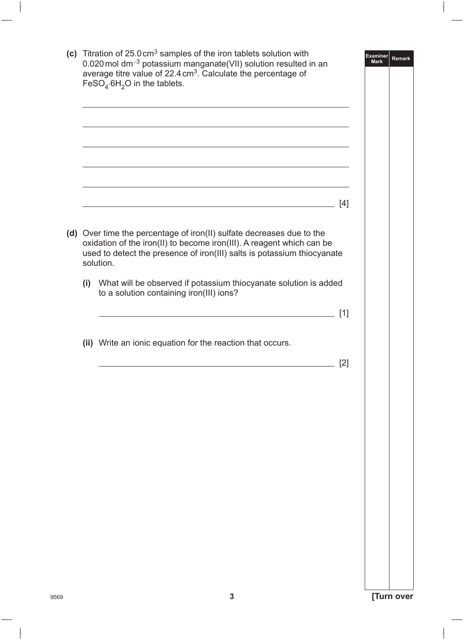|  | (c) Titration of $25.0 \text{ cm}^3$ samples of the iron tablets solution with<br>0.020 mol dm <sup>-3</sup> potassium manganate(VII) solution resulted in an<br>average titre value of 22.4 cm <sup>3</sup> . Calculate the percentage of<br>FeSO <sub>4</sub> .6H <sub>2</sub> O in the tablets. |       | <b>Examiner</b><br><b>Mark</b> | Remark |
|--|----------------------------------------------------------------------------------------------------------------------------------------------------------------------------------------------------------------------------------------------------------------------------------------------------|-------|--------------------------------|--------|
|  |                                                                                                                                                                                                                                                                                                    |       |                                |        |
|  |                                                                                                                                                                                                                                                                                                    |       |                                |        |
|  |                                                                                                                                                                                                                                                                                                    | $[4]$ |                                |        |
|  | (d) Over time the percentage of iron(II) sulfate decreases due to the<br>oxidation of the iron(II) to become iron(III). A reagent which can be<br>used to detect the presence of iron(III) salts is potassium thiocyanate<br>solution.                                                             |       |                                |        |
|  | (i) What will be observed if potassium thiocyanate solution is added<br>to a solution containing iron(III) ions?                                                                                                                                                                                   |       |                                |        |
|  |                                                                                                                                                                                                                                                                                                    | [1]   |                                |        |
|  | (ii) Write an ionic equation for the reaction that occurs.                                                                                                                                                                                                                                         | [2]   |                                |        |
|  |                                                                                                                                                                                                                                                                                                    |       |                                |        |
|  |                                                                                                                                                                                                                                                                                                    |       |                                |        |
|  |                                                                                                                                                                                                                                                                                                    |       |                                |        |
|  |                                                                                                                                                                                                                                                                                                    |       |                                |        |
|  |                                                                                                                                                                                                                                                                                                    |       |                                |        |
|  |                                                                                                                                                                                                                                                                                                    |       |                                |        |
|  |                                                                                                                                                                                                                                                                                                    |       |                                |        |
|  |                                                                                                                                                                                                                                                                                                    |       |                                |        |
|  | 3                                                                                                                                                                                                                                                                                                  |       | [Turn over                     |        |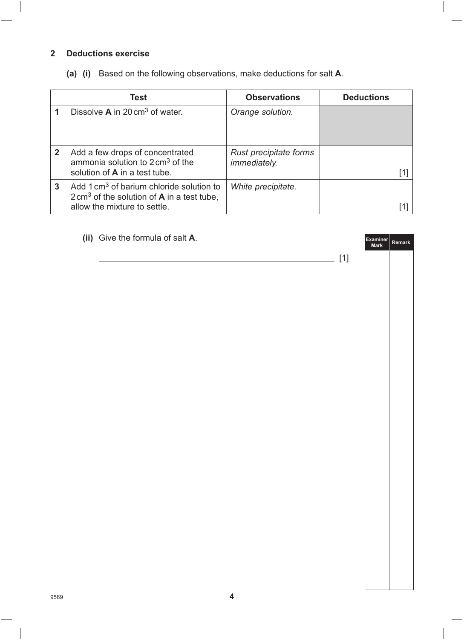#### **2 Deductions exercise**

**(a) (i)** Based on the following observations, make deductions for salt **A**.

|   | Test                                                                                                                                                 | <b>Observations</b>                           | <b>Deductions</b> |
|---|------------------------------------------------------------------------------------------------------------------------------------------------------|-----------------------------------------------|-------------------|
|   | Dissolve $\mathbf A$ in 20 cm <sup>3</sup> of water.                                                                                                 | Orange solution.                              |                   |
| 2 | Add a few drops of concentrated<br>ammonia solution to $2 \text{ cm}^3$ of the<br>solution of <b>A</b> in a test tube.                               | Rust precipitate forms<br><i>immediately.</i> |                   |
| 3 | Add 1 cm <sup>3</sup> of barium chloride solution to<br>$2 \text{ cm}^3$ of the solution of <b>A</b> in a test tube,<br>allow the mixture to settle. | White precipitate.                            |                   |

| (ii) Give the formula of salt A. | Examiner | Remark |
|----------------------------------|----------|--------|
|                                  |          |        |
|                                  |          |        |
|                                  |          |        |
|                                  |          |        |
|                                  |          |        |
|                                  |          |        |
|                                  |          |        |
|                                  |          |        |
|                                  |          |        |
|                                  |          |        |
|                                  |          |        |
|                                  |          |        |
|                                  |          |        |
|                                  |          |        |
|                                  |          |        |
|                                  |          |        |
| $\overline{\mathbf{4}}$          |          |        |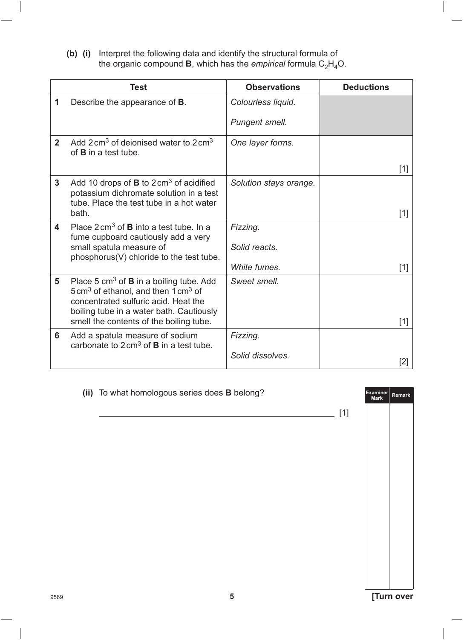**(b) (i)** Interpret the following data and identify the structural formula of the organic compound **B**, which has the *empirical* formula  $\rm C_2H_4O.$ 

|                         | <b>Test</b>                                                                                                                                                                                                                                  | <b>Observations</b>                       | <b>Deductions</b> |
|-------------------------|----------------------------------------------------------------------------------------------------------------------------------------------------------------------------------------------------------------------------------------------|-------------------------------------------|-------------------|
| 1                       | Describe the appearance of <b>B</b> .                                                                                                                                                                                                        | Colourless liquid.                        |                   |
|                         |                                                                                                                                                                                                                                              | Pungent smell.                            |                   |
| $2^{\circ}$             | Add $2 \text{ cm}^3$ of deionised water to $2 \text{ cm}^3$<br>of $B$ in a test tube.                                                                                                                                                        | One layer forms.                          | $[1]$             |
| $\mathbf{3}$            | Add 10 drops of <b>B</b> to $2 \text{ cm}^3$ of acidified<br>potassium dichromate solution in a test<br>tube. Place the test tube in a hot water<br>bath.                                                                                    | Solution stays orange.                    | [1]               |
| $\overline{\mathbf{4}}$ | Place $2 \text{ cm}^3$ of <b>B</b> into a test tube. In a<br>fume cupboard cautiously add a very<br>small spatula measure of<br>phosphorus(V) chloride to the test tube.                                                                     | Fizzing.<br>Solid reacts.<br>White fumes. | $[1]$             |
| 5                       | Place 5 $cm3$ of <b>B</b> in a boiling tube. Add<br>$5 \text{ cm}^3$ of ethanol, and then $1 \text{ cm}^3$ of<br>concentrated sulfuric acid. Heat the<br>boiling tube in a water bath. Cautiously<br>smell the contents of the boiling tube. | Sweet smell.                              | $[1]$             |
| 6                       | Add a spatula measure of sodium<br>carbonate to $2 \text{ cm}^3$ of <b>B</b> in a test tube.                                                                                                                                                 | Fizzing.<br>Solid dissolves.              | [2]               |

|      | (ii) To what homologous series does <b>B</b> belong? |       | Examiner Remark<br>Mark |            |
|------|------------------------------------------------------|-------|-------------------------|------------|
|      |                                                      | $[1]$ |                         |            |
|      |                                                      |       |                         |            |
|      |                                                      |       |                         |            |
|      |                                                      |       |                         |            |
|      |                                                      |       |                         |            |
|      |                                                      |       |                         |            |
|      |                                                      |       |                         |            |
|      |                                                      |       |                         |            |
|      |                                                      |       |                         |            |
|      |                                                      |       |                         |            |
|      |                                                      |       |                         |            |
| 9569 | 5                                                    |       |                         | [Turn over |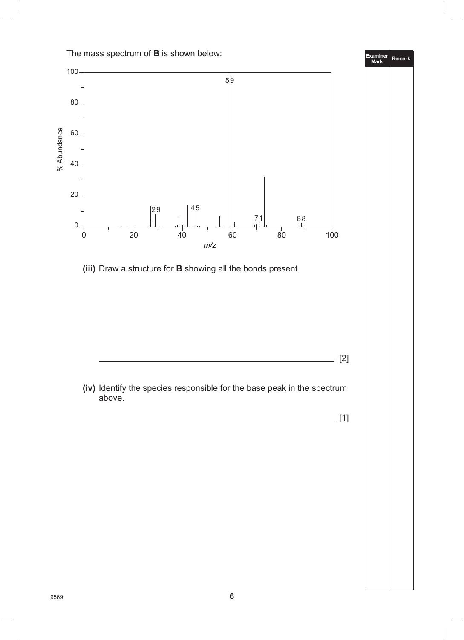The mass spectrum of **B** is shown below:

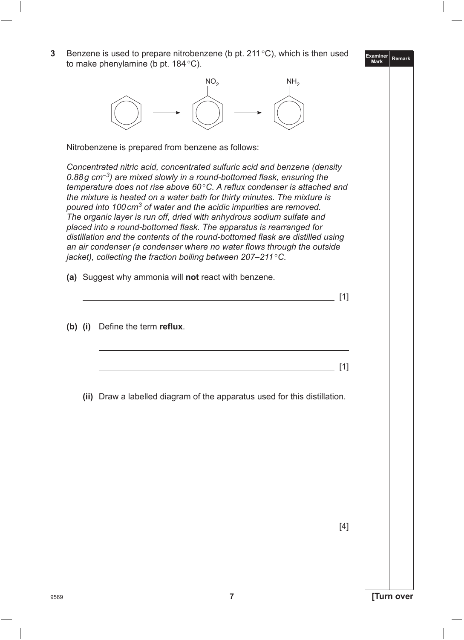**Examiner Mark Remark**

|           | Nitrobenzene is prepared from benzene as follows:                                                                                                                                                                                                                                                                                                                                                                                                                                                                                                                                                                                                                                                                                                                                                |     |
|-----------|--------------------------------------------------------------------------------------------------------------------------------------------------------------------------------------------------------------------------------------------------------------------------------------------------------------------------------------------------------------------------------------------------------------------------------------------------------------------------------------------------------------------------------------------------------------------------------------------------------------------------------------------------------------------------------------------------------------------------------------------------------------------------------------------------|-----|
|           | Concentrated nitric acid, concentrated sulfuric acid and benzene (density<br>0.88g $cm^{-3}$ ) are mixed slowly in a round-bottomed flask, ensuring the<br>temperature does not rise above $60^{\circ}$ C. A reflux condenser is attached and<br>the mixture is heated on a water bath for thirty minutes. The mixture is<br>poured into 100 cm <sup>3</sup> of water and the acidic impurities are removed.<br>The organic layer is run off, dried with anhydrous sodium sulfate and<br>placed into a round-bottomed flask. The apparatus is rearranged for<br>distillation and the contents of the round-bottomed flask are distilled using<br>an air condenser (a condenser where no water flows through the outside<br>jacket), collecting the fraction boiling between $207-211^{\circ}$ C. |     |
|           | (a) Suggest why ammonia will not react with benzene.                                                                                                                                                                                                                                                                                                                                                                                                                                                                                                                                                                                                                                                                                                                                             |     |
|           |                                                                                                                                                                                                                                                                                                                                                                                                                                                                                                                                                                                                                                                                                                                                                                                                  |     |
|           |                                                                                                                                                                                                                                                                                                                                                                                                                                                                                                                                                                                                                                                                                                                                                                                                  | [1] |
|           | Define the term reflux.                                                                                                                                                                                                                                                                                                                                                                                                                                                                                                                                                                                                                                                                                                                                                                          |     |
|           |                                                                                                                                                                                                                                                                                                                                                                                                                                                                                                                                                                                                                                                                                                                                                                                                  | [1] |
| $(b)$ (i) | (ii) Draw a labelled diagram of the apparatus used for this distillation.                                                                                                                                                                                                                                                                                                                                                                                                                                                                                                                                                                                                                                                                                                                        |     |
|           |                                                                                                                                                                                                                                                                                                                                                                                                                                                                                                                                                                                                                                                                                                                                                                                                  |     |
|           |                                                                                                                                                                                                                                                                                                                                                                                                                                                                                                                                                                                                                                                                                                                                                                                                  |     |
|           |                                                                                                                                                                                                                                                                                                                                                                                                                                                                                                                                                                                                                                                                                                                                                                                                  |     |
|           |                                                                                                                                                                                                                                                                                                                                                                                                                                                                                                                                                                                                                                                                                                                                                                                                  |     |
|           |                                                                                                                                                                                                                                                                                                                                                                                                                                                                                                                                                                                                                                                                                                                                                                                                  |     |

**3** Benzene is used to prepare nitrobenzene (b pt. 211°C), which is then used

to make phenylamine (b pt. 184 $^{\circ}$ C).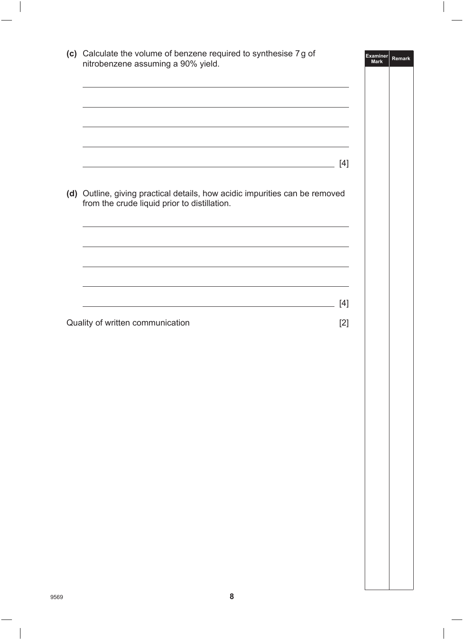|                                  |                                                                                                                                                                                                                                                                                                                                                                                                                                                                                                                                              | Examiner<br><b>Mark</b> | <b>Remark</b> |
|----------------------------------|----------------------------------------------------------------------------------------------------------------------------------------------------------------------------------------------------------------------------------------------------------------------------------------------------------------------------------------------------------------------------------------------------------------------------------------------------------------------------------------------------------------------------------------------|-------------------------|---------------|
|                                  |                                                                                                                                                                                                                                                                                                                                                                                                                                                                                                                                              |                         |               |
|                                  |                                                                                                                                                                                                                                                                                                                                                                                                                                                                                                                                              | $[4]$                   |               |
|                                  |                                                                                                                                                                                                                                                                                                                                                                                                                                                                                                                                              |                         |               |
|                                  |                                                                                                                                                                                                                                                                                                                                                                                                                                                                                                                                              |                         |               |
|                                  |                                                                                                                                                                                                                                                                                                                                                                                                                                                                                                                                              |                         |               |
| Quality of written communication | (c) Calculate the volume of benzene required to synthesise 7g of<br>nitrobenzene assuming a 90% yield.<br>the control of the control of the control of the control of the control of the control of<br>(d) Outline, giving practical details, how acidic impurities can be removed<br>from the crude liquid prior to distillation.<br>and the control of the control of the control of the control of the control of the control of the control of the<br>$[4]$<br><u> 1989 - Johann Barbara, martxa alemaniar arg</u><br>$[2]$<br>${\bf 8}$ |                         |               |
|                                  |                                                                                                                                                                                                                                                                                                                                                                                                                                                                                                                                              |                         |               |
|                                  |                                                                                                                                                                                                                                                                                                                                                                                                                                                                                                                                              |                         |               |
|                                  |                                                                                                                                                                                                                                                                                                                                                                                                                                                                                                                                              |                         |               |
|                                  |                                                                                                                                                                                                                                                                                                                                                                                                                                                                                                                                              |                         |               |
|                                  |                                                                                                                                                                                                                                                                                                                                                                                                                                                                                                                                              |                         |               |
|                                  |                                                                                                                                                                                                                                                                                                                                                                                                                                                                                                                                              |                         |               |
|                                  |                                                                                                                                                                                                                                                                                                                                                                                                                                                                                                                                              |                         |               |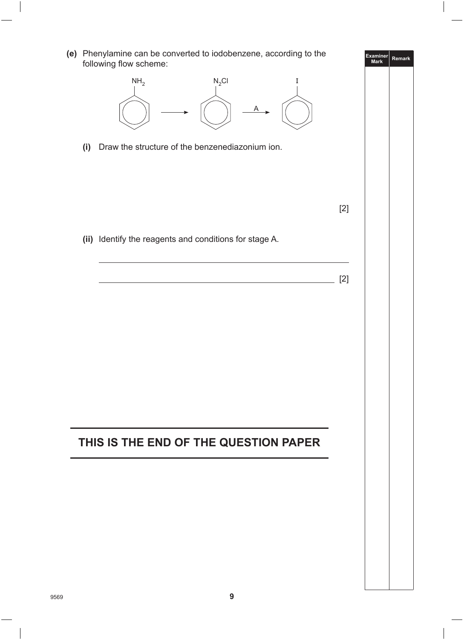**Examiner Mark Remark (e)** Phenylamine can be converted to iodobenzene, according to the following flow scheme:  $N_2$ Cl I A  $NH<sub>2</sub>$  **(i)** Draw the structure of the benzenediazonium ion. [2] **(ii)** Identify the reagents and conditions for stage A. [2] **THIS IS THE END OF THE QUESTION PAPER**